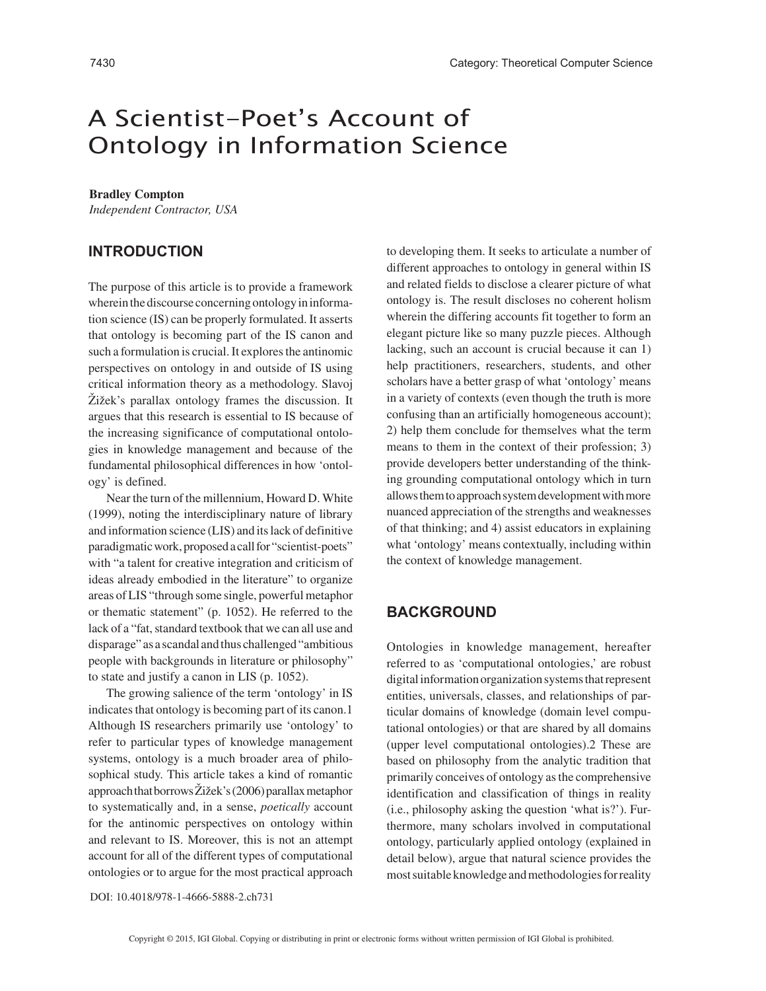# A Scientist-Poet's Account of Ontology in Information Science

#### **Bradley Compton**

*Independent Contractor, USA*

## **INTRODUCTION**

The purpose of this article is to provide a framework wherein the discourse concerning ontology in information science (IS) can be properly formulated. It asserts that ontology is becoming part of the IS canon and such a formulation is crucial. It explores the antinomic perspectives on ontology in and outside of IS using critical information theory as a methodology. Slavoj Žižek's parallax ontology frames the discussion. It argues that this research is essential to IS because of the increasing significance of computational ontologies in knowledge management and because of the fundamental philosophical differences in how 'ontology' is defined.

Near the turn of the millennium, Howard D. White (1999), noting the interdisciplinary nature of library and information science (LIS) and its lack of definitive paradigmatic work, proposed a call for "scientist-poets" with "a talent for creative integration and criticism of ideas already embodied in the literature" to organize areas of LIS "through some single, powerful metaphor or thematic statement" (p. 1052). He referred to the lack of a "fat, standard textbook that we can all use and disparage" as a scandal and thus challenged "ambitious people with backgrounds in literature or philosophy" to state and justify a canon in LIS (p. 1052).

The growing salience of the term 'ontology' in IS indicates that ontology is becoming part of its canon.1 Although IS researchers primarily use 'ontology' to refer to particular types of knowledge management systems, ontology is a much broader area of philosophical study. This article takes a kind of romantic approach that borrows Žižek's (2006) parallax metaphor to systematically and, in a sense, *poetically* account for the antinomic perspectives on ontology within and relevant to IS. Moreover, this is not an attempt account for all of the different types of computational ontologies or to argue for the most practical approach to developing them. It seeks to articulate a number of different approaches to ontology in general within IS and related fields to disclose a clearer picture of what ontology is. The result discloses no coherent holism wherein the differing accounts fit together to form an elegant picture like so many puzzle pieces. Although lacking, such an account is crucial because it can 1) help practitioners, researchers, students, and other scholars have a better grasp of what 'ontology' means in a variety of contexts (even though the truth is more confusing than an artificially homogeneous account); 2) help them conclude for themselves what the term means to them in the context of their profession; 3) provide developers better understanding of the thinking grounding computational ontology which in turn allows them to approach system development with more nuanced appreciation of the strengths and weaknesses of that thinking; and 4) assist educators in explaining what 'ontology' means contextually, including within the context of knowledge management.

## **BACKGROUND**

Ontologies in knowledge management, hereafter referred to as 'computational ontologies,' are robust digital information organization systems that represent entities, universals, classes, and relationships of particular domains of knowledge (domain level computational ontologies) or that are shared by all domains (upper level computational ontologies).2 These are based on philosophy from the analytic tradition that primarily conceives of ontology as the comprehensive identification and classification of things in reality (i.e., philosophy asking the question 'what is?'). Furthermore, many scholars involved in computational ontology, particularly applied ontology (explained in detail below), argue that natural science provides the most suitable knowledge and methodologies for reality

DOI: 10.4018/978-1-4666-5888-2.ch731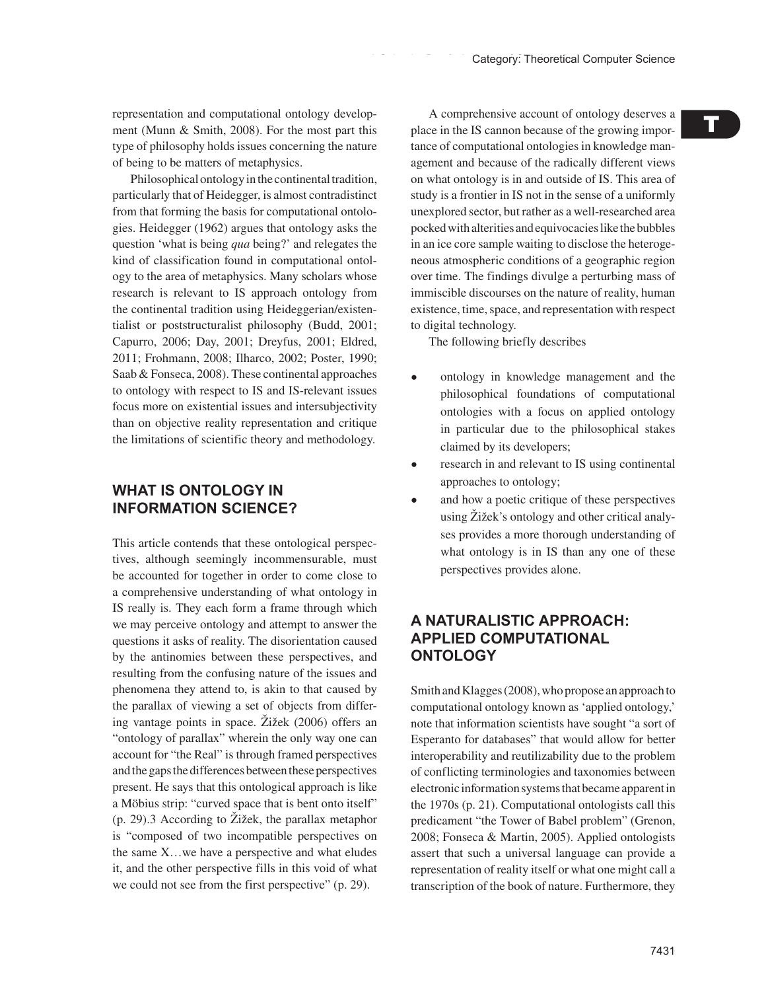representation and computational ontology development (Munn & Smith, 2008). For the most part this type of philosophy holds issues concerning the nature of being to be matters of metaphysics.

Philosophical ontology in the continental tradition, particularly that of Heidegger, is almost contradistinct from that forming the basis for computational ontologies. Heidegger (1962) argues that ontology asks the question 'what is being *qua* being?' and relegates the kind of classification found in computational ontology to the area of metaphysics. Many scholars whose research is relevant to IS approach ontology from the continental tradition using Heideggerian/existentialist or poststructuralist philosophy (Budd, 2001; Capurro, 2006; Day, 2001; Dreyfus, 2001; Eldred, 2011; Frohmann, 2008; Ilharco, 2002; Poster, 1990; Saab & Fonseca, 2008). These continental approaches to ontology with respect to IS and IS-relevant issues focus more on existential issues and intersubjectivity than on objective reality representation and critique the limitations of scientific theory and methodology.

# **WHAT IS ONTOLOGY IN INFORMATION SCIENCE?**

This article contends that these ontological perspectives, although seemingly incommensurable, must be accounted for together in order to come close to a comprehensive understanding of what ontology in IS really is. They each form a frame through which we may perceive ontology and attempt to answer the questions it asks of reality. The disorientation caused by the antinomies between these perspectives, and resulting from the confusing nature of the issues and phenomena they attend to, is akin to that caused by the parallax of viewing a set of objects from differing vantage points in space. Žižek (2006) offers an "ontology of parallax" wherein the only way one can account for "the Real" is through framed perspectives and the gaps the differences between these perspectives present. He says that this ontological approach is like a Möbius strip: "curved space that is bent onto itself" (p. 29).3 According to Žižek, the parallax metaphor is "composed of two incompatible perspectives on the same X…we have a perspective and what eludes it, and the other perspective fills in this void of what we could not see from the first perspective" (p. 29).

A comprehensive account of ontology deserves a place in the IS cannon because of the growing importance of computational ontologies in knowledge management and because of the radically different views on what ontology is in and outside of IS. This area of study is a frontier in IS not in the sense of a uniformly unexplored sector, but rather as a well-researched area pocked with alterities and equivocacies like the bubbles in an ice core sample waiting to disclose the heterogeneous atmospheric conditions of a geographic region over time. The findings divulge a perturbing mass of immiscible discourses on the nature of reality, human existence, time, space, and representation with respect to digital technology.

The following briefly describes

- ontology in knowledge management and the philosophical foundations of computational ontologies with a focus on applied ontology in particular due to the philosophical stakes claimed by its developers;
- research in and relevant to IS using continental approaches to ontology;
- and how a poetic critique of these perspectives using Žižek's ontology and other critical analyses provides a more thorough understanding of what ontology is in IS than any one of these perspectives provides alone.

## **A NATURALISTIC APPROACH: APPLIED COMPUTATIONAL ONTOLOGY**

Smith and Klagges (2008), who propose an approach to computational ontology known as 'applied ontology,' note that information scientists have sought "a sort of Esperanto for databases" that would allow for better interoperability and reutilizability due to the problem of conflicting terminologies and taxonomies between electronic information systems that became apparent in the 1970s (p. 21). Computational ontologists call this predicament "the Tower of Babel problem" (Grenon, 2008; Fonseca & Martin, 2005). Applied ontologists assert that such a universal language can provide a representation of reality itself or what one might call a transcription of the book of nature. Furthermore, they